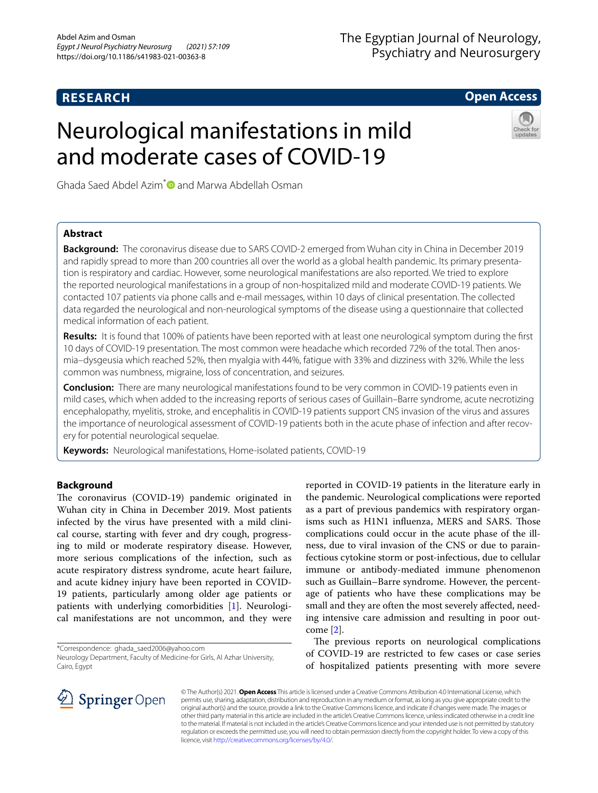# **RESEARCH**

# The Egyptian Journal of Neurology, Psychiatry and Neurosurgery

## **Open Access**

# Neurological manifestations in mild and moderate cases of COVID-19



Ghada Saed Abdel Azim<sup>[\\*](http://orcid.org/0000-0002-2289-3802)</sup> $\bullet$  and Marwa Abdellah Osman

## **Abstract**

**Background:** The coronavirus disease due to SARS COVID-2 emerged from Wuhan city in China in December 2019 and rapidly spread to more than 200 countries all over the world as a global health pandemic. Its primary presentation is respiratory and cardiac. However, some neurological manifestations are also reported. We tried to explore the reported neurological manifestations in a group of non-hospitalized mild and moderate COVID-19 patients. We contacted 107 patients via phone calls and e-mail messages, within 10 days of clinical presentation. The collected data regarded the neurological and non-neurological symptoms of the disease using a questionnaire that collected medical information of each patient.

**Results:** It is found that 100% of patients have been reported with at least one neurological symptom during the frst 10 days of COVID-19 presentation. The most common were headache which recorded 72% of the total. Then anosmia–dysgeusia which reached 52%, then myalgia with 44%, fatigue with 33% and dizziness with 32%. While the less common was numbness, migraine, loss of concentration, and seizures.

**Conclusion:** There are many neurological manifestations found to be very common in COVID-19 patients even in mild cases, which when added to the increasing reports of serious cases of Guillain–Barre syndrome, acute necrotizing encephalopathy, myelitis, stroke, and encephalitis in COVID-19 patients support CNS invasion of the virus and assures the importance of neurological assessment of COVID-19 patients both in the acute phase of infection and after recovery for potential neurological sequelae.

**Keywords:** Neurological manifestations, Home-isolated patients, COVID-19

## **Background**

The coronavirus (COVID-19) pandemic originated in Wuhan city in China in December 2019. Most patients infected by the virus have presented with a mild clinical course, starting with fever and dry cough, progressing to mild or moderate respiratory disease. However, more serious complications of the infection, such as acute respiratory distress syndrome, acute heart failure, and acute kidney injury have been reported in COVID-19 patients, particularly among older age patients or patients with underlying comorbidities [\[1](#page-5-0)]. Neurological manifestations are not uncommon, and they were

\*Correspondence: ghada\_saed2006@yahoo.com

reported in COVID-19 patients in the literature early in the pandemic. Neurological complications were reported as a part of previous pandemics with respiratory organisms such as H1N1 infuenza, MERS and SARS. Tose complications could occur in the acute phase of the illness, due to viral invasion of the CNS or due to parainfectious cytokine storm or post-infectious, due to cellular immune or antibody-mediated immune phenomenon such as Guillain–Barre syndrome. However, the percentage of patients who have these complications may be small and they are often the most severely affected, needing intensive care admission and resulting in poor outcome [\[2](#page-5-1)].

The previous reports on neurological complications of COVID-19 are restricted to few cases or case series of hospitalized patients presenting with more severe



© The Author(s) 2021. **Open Access** This article is licensed under a Creative Commons Attribution 4.0 International License, which permits use, sharing, adaptation, distribution and reproduction in any medium or format, as long as you give appropriate credit to the original author(s) and the source, provide a link to the Creative Commons licence, and indicate if changes were made. The images or other third party material in this article are included in the article's Creative Commons licence, unless indicated otherwise in a credit line to the material. If material is not included in the article's Creative Commons licence and your intended use is not permitted by statutory regulation or exceeds the permitted use, you will need to obtain permission directly from the copyright holder. To view a copy of this licence, visit [http://creativecommons.org/licenses/by/4.0/.](http://creativecommons.org/licenses/by/4.0/)

Neurology Department, Faculty of Medicine-for Girls, Al Azhar University, Cairo, Egypt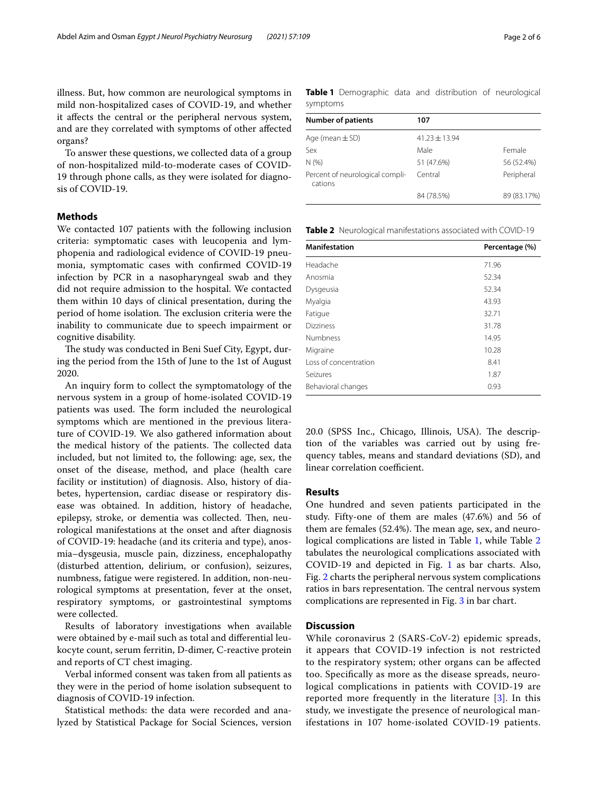illness. But, how common are neurological symptoms in mild non-hospitalized cases of COVID-19, and whether it afects the central or the peripheral nervous system, and are they correlated with symptoms of other afected organs?

To answer these questions, we collected data of a group of non-hospitalized mild-to-moderate cases of COVID-19 through phone calls, as they were isolated for diagnosis of COVID-19.

## **Methods**

We contacted 107 patients with the following inclusion criteria: symptomatic cases with leucopenia and lymphopenia and radiological evidence of COVID-19 pneumonia, symptomatic cases with confrmed COVID-19 infection by PCR in a nasopharyngeal swab and they did not require admission to the hospital. We contacted them within 10 days of clinical presentation, during the period of home isolation. The exclusion criteria were the inability to communicate due to speech impairment or cognitive disability.

The study was conducted in Beni Suef City, Egypt, during the period from the 15th of June to the 1st of August 2020.

An inquiry form to collect the symptomatology of the nervous system in a group of home-isolated COVID-19 patients was used. The form included the neurological symptoms which are mentioned in the previous literature of COVID-19. We also gathered information about the medical history of the patients. The collected data included, but not limited to, the following: age, sex, the onset of the disease, method, and place (health care facility or institution) of diagnosis. Also, history of diabetes, hypertension, cardiac disease or respiratory disease was obtained. In addition, history of headache, epilepsy, stroke, or dementia was collected. Then, neurological manifestations at the onset and after diagnosis of COVID-19: headache (and its criteria and type), anosmia–dysgeusia, muscle pain, dizziness, encephalopathy (disturbed attention, delirium, or confusion), seizures, numbness, fatigue were registered. In addition, non-neurological symptoms at presentation, fever at the onset, respiratory symptoms, or gastrointestinal symptoms were collected.

Results of laboratory investigations when available were obtained by e-mail such as total and diferential leukocyte count, serum ferritin, D-dimer, C-reactive protein and reports of CT chest imaging.

Verbal informed consent was taken from all patients as they were in the period of home isolation subsequent to diagnosis of COVID-19 infection.

Statistical methods: the data were recorded and analyzed by Statistical Package for Social Sciences, version

<span id="page-1-0"></span>**Table 1** Demographic data and distribution of neurological symptoms

| <b>Number of patients</b>                  | 107             |             |
|--------------------------------------------|-----------------|-------------|
| Age (mean $\pm$ SD)                        | $41.23 + 13.94$ |             |
| Sex                                        | Male            | Female      |
| N(% )                                      | 51 (47.6%)      | 56 (52.4%)  |
| Percent of neurological compli-<br>cations | Central         | Peripheral  |
|                                            | 84 (78.5%)      | 89 (83.17%) |

<span id="page-1-1"></span>**Table 2** Neurological manifestations associated with COVID-19

| <b>Manifestation</b>  | Percentage (%) |
|-----------------------|----------------|
| Headache              | 71.96          |
| Anosmia               | 52.34          |
| Dysgeusia             | 52.34          |
| Myalgia               | 43.93          |
| Fatigue               | 32.71          |
| <b>Dizziness</b>      | 31.78          |
| <b>Numbness</b>       | 14.95          |
| Migraine              | 10.28          |
| Loss of concentration | 8.41           |
| Seizures              | 1.87           |
| Behavioral changes    | 0.93           |

20.0 (SPSS Inc., Chicago, Illinois, USA). The description of the variables was carried out by using frequency tables, means and standard deviations (SD), and linear correlation coefficient.

## **Results**

One hundred and seven patients participated in the study. Fifty-one of them are males (47.6%) and 56 of them are females (52.4%). The mean age, sex, and neurological complications are listed in Table [1,](#page-1-0) while Table [2](#page-1-1) tabulates the neurological complications associated with COVID-19 and depicted in Fig. [1](#page-2-0) as bar charts. Also, Fig. [2](#page-2-1) charts the peripheral nervous system complications ratios in bars representation. The central nervous system complications are represented in Fig. [3](#page-3-0) in bar chart.

#### **Discussion**

While coronavirus 2 (SARS-CoV-2) epidemic spreads, it appears that COVID-19 infection is not restricted to the respiratory system; other organs can be afected too. Specifcally as more as the disease spreads, neurological complications in patients with COVID-19 are reported more frequently in the literature [\[3](#page-5-2)]. In this study, we investigate the presence of neurological manifestations in 107 home-isolated COVID-19 patients.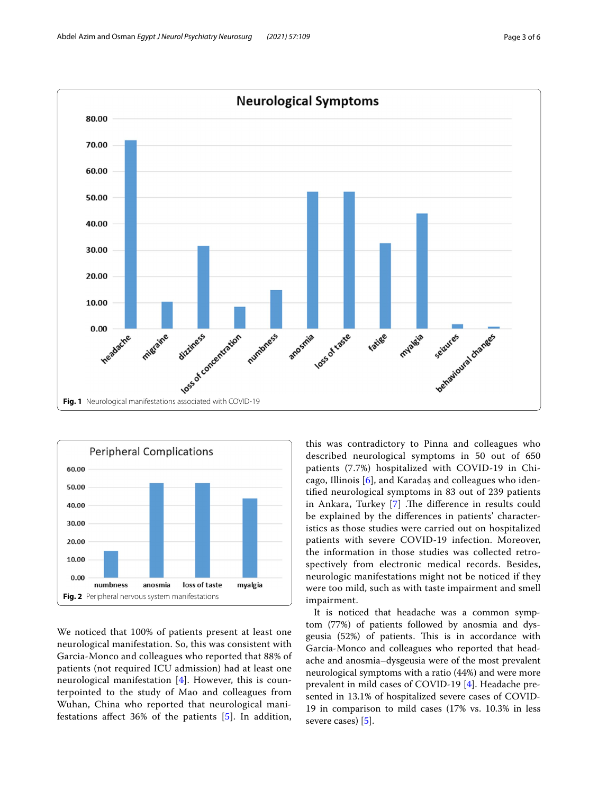

<span id="page-2-0"></span>

<span id="page-2-1"></span>We noticed that 100% of patients present at least one neurological manifestation. So, this was consistent with Garcia-Monco and colleagues who reported that 88% of patients (not required ICU admission) had at least one neurological manifestation [[4](#page-5-3)]. However, this is counterpointed to the study of Mao and colleagues from Wuhan, China who reported that neurological manifestations afect 36% of the patients [[5](#page-5-4)]. In addition, this was contradictory to Pinna and colleagues who described neurological symptoms in 50 out of 650 patients (7.7%) hospitalized with COVID-19 in Chicago, Illinois [[6](#page-5-5)], and Karadaş and colleagues who identifed neurological symptoms in 83 out of 239 patients in Ankara, Turkey [\[7](#page-5-6)] .The difference in results could be explained by the diferences in patients' characteristics as those studies were carried out on hospitalized patients with severe COVID-19 infection. Moreover, the information in those studies was collected retrospectively from electronic medical records. Besides, neurologic manifestations might not be noticed if they were too mild, such as with taste impairment and smell impairment.

It is noticed that headache was a common symptom (77%) of patients followed by anosmia and dysgeusia (52%) of patients. This is in accordance with Garcia-Monco and colleagues who reported that headache and anosmia–dysgeusia were of the most prevalent neurological symptoms with a ratio (44%) and were more prevalent in mild cases of COVID-19 [[4\]](#page-5-3). Headache presented in 13.1% of hospitalized severe cases of COVID-19 in comparison to mild cases (17% vs. 10.3% in less severe cases) [[5\]](#page-5-4).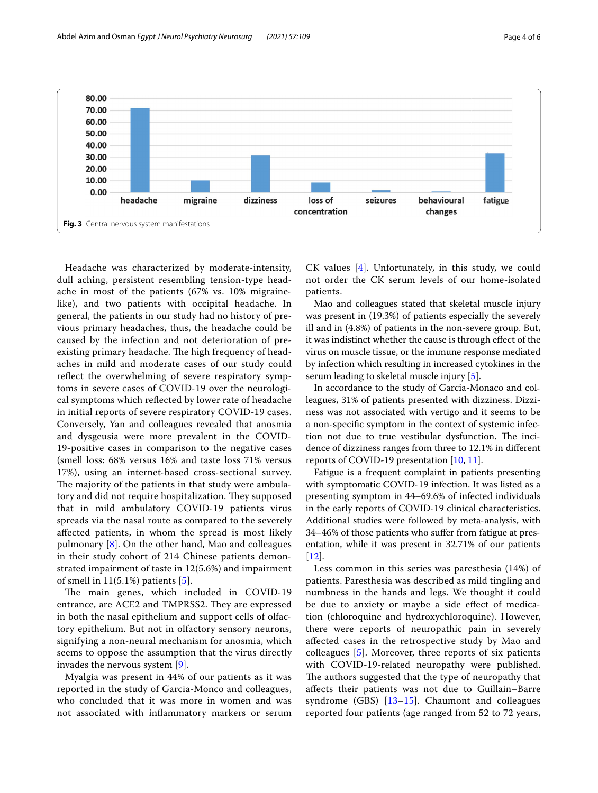

<span id="page-3-0"></span>Headache was characterized by moderate-intensity, dull aching, persistent resembling tension-type headache in most of the patients (67% vs. 10% migrainelike), and two patients with occipital headache. In general, the patients in our study had no history of previous primary headaches, thus, the headache could be caused by the infection and not deterioration of preexisting primary headache. The high frequency of headaches in mild and moderate cases of our study could reflect the overwhelming of severe respiratory symptoms in severe cases of COVID-19 over the neurological symptoms which refected by lower rate of headache in initial reports of severe respiratory COVID-19 cases. Conversely, Yan and colleagues revealed that anosmia and dysgeusia were more prevalent in the COVID-19-positive cases in comparison to the negative cases (smell loss: 68% versus 16% and taste loss 71% versus 17%), using an internet-based cross-sectional survey. The majority of the patients in that study were ambulatory and did not require hospitalization. They supposed that in mild ambulatory COVID-19 patients virus spreads via the nasal route as compared to the severely afected patients, in whom the spread is most likely pulmonary  $[8]$  $[8]$  $[8]$ . On the other hand, Mao and colleagues in their study cohort of 214 Chinese patients demonstrated impairment of taste in 12(5.6%) and impairment of smell in  $11(5.1\%)$  $11(5.1\%)$  $11(5.1\%)$  patients [5].

The main genes, which included in COVID-19 entrance, are ACE2 and TMPRSS2. They are expressed in both the nasal epithelium and support cells of olfactory epithelium. But not in olfactory sensory neurons, signifying a non-neural mechanism for anosmia, which seems to oppose the assumption that the virus directly invades the nervous system [[9\]](#page-5-8).

Myalgia was present in 44% of our patients as it was reported in the study of Garcia-Monco and colleagues, who concluded that it was more in women and was not associated with infammatory markers or serum CK values [[4\]](#page-5-3). Unfortunately, in this study, we could not order the CK serum levels of our home-isolated patients.

Mao and colleagues stated that skeletal muscle injury was present in (19.3%) of patients especially the severely ill and in (4.8%) of patients in the non-severe group. But, it was indistinct whether the cause is through efect of the virus on muscle tissue, or the immune response mediated by infection which resulting in increased cytokines in the serum leading to skeletal muscle injury [[5\]](#page-5-4).

In accordance to the study of Garcia-Monaco and colleagues, 31% of patients presented with dizziness. Dizziness was not associated with vertigo and it seems to be a non-specifc symptom in the context of systemic infection not due to true vestibular dysfunction. The incidence of dizziness ranges from three to 12.1% in diferent reports of COVID-19 presentation [[10,](#page-5-9) [11\]](#page-5-10).

Fatigue is a frequent complaint in patients presenting with symptomatic COVID-19 infection. It was listed as a presenting symptom in 44–69.6% of infected individuals in the early reports of COVID-19 clinical characteristics. Additional studies were followed by meta-analysis, with 34–46% of those patients who sufer from fatigue at presentation, while it was present in 32.71% of our patients [[12\]](#page-5-11).

Less common in this series was paresthesia (14%) of patients. Paresthesia was described as mild tingling and numbness in the hands and legs. We thought it could be due to anxiety or maybe a side effect of medication (chloroquine and hydroxychloroquine). However, there were reports of neuropathic pain in severely afected cases in the retrospective study by Mao and colleagues [\[5](#page-5-4)]. Moreover, three reports of six patients with COVID-19-related neuropathy were published. The authors suggested that the type of neuropathy that afects their patients was not due to Guillain–Barre syndrome (GBS) [\[13](#page-5-12)-15]. Chaumont and colleagues reported four patients (age ranged from 52 to 72 years,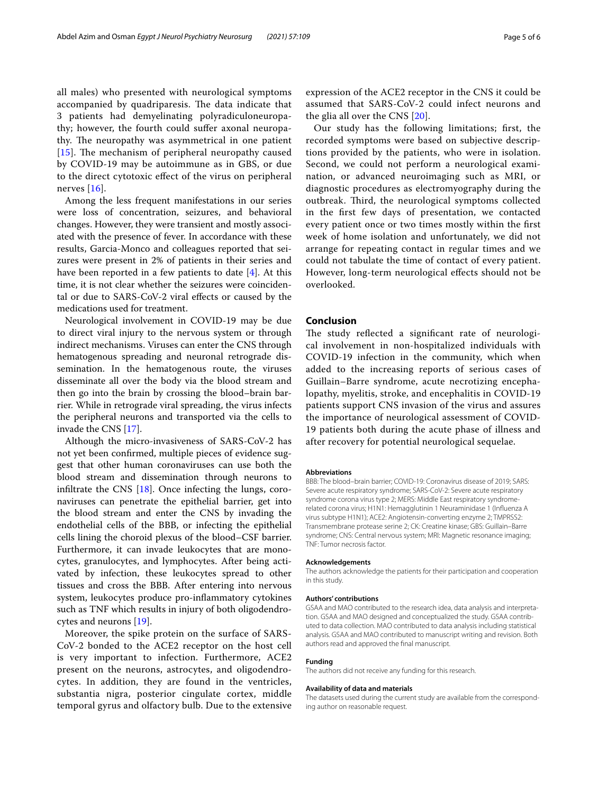all males) who presented with neurological symptoms accompanied by quadriparesis. The data indicate that 3 patients had demyelinating polyradiculoneuropathy; however, the fourth could sufer axonal neuropathy. The neuropathy was asymmetrical in one patient [[15](#page-5-13)]. The mechanism of peripheral neuropathy caused by COVID-19 may be autoimmune as in GBS, or due to the direct cytotoxic efect of the virus on peripheral nerves  $[16]$  $[16]$ .

Among the less frequent manifestations in our series were loss of concentration, seizures, and behavioral changes. However, they were transient and mostly associated with the presence of fever. In accordance with these results, Garcia-Monco and colleagues reported that seizures were present in 2% of patients in their series and have been reported in a few patients to date [[4\]](#page-5-3). At this time, it is not clear whether the seizures were coincidental or due to SARS-CoV-2 viral efects or caused by the medications used for treatment.

Neurological involvement in COVID-19 may be due to direct viral injury to the nervous system or through indirect mechanisms. Viruses can enter the CNS through hematogenous spreading and neuronal retrograde dissemination. In the hematogenous route, the viruses disseminate all over the body via the blood stream and then go into the brain by crossing the blood–brain barrier. While in retrograde viral spreading, the virus infects the peripheral neurons and transported via the cells to invade the CNS [\[17](#page-5-15)].

Although the micro-invasiveness of SARS-CoV-2 has not yet been confrmed, multiple pieces of evidence suggest that other human coronaviruses can use both the blood stream and dissemination through neurons to infiltrate the CNS  $[18]$  $[18]$ . Once infecting the lungs, coronaviruses can penetrate the epithelial barrier, get into the blood stream and enter the CNS by invading the endothelial cells of the BBB, or infecting the epithelial cells lining the choroid plexus of the blood–CSF barrier. Furthermore, it can invade leukocytes that are monocytes, granulocytes, and lymphocytes. After being activated by infection, these leukocytes spread to other tissues and cross the BBB. After entering into nervous system, leukocytes produce pro-infammatory cytokines such as TNF which results in injury of both oligodendrocytes and neurons [\[19](#page-5-17)].

Moreover, the spike protein on the surface of SARS-CoV-2 bonded to the ACE2 receptor on the host cell is very important to infection. Furthermore, ACE2 present on the neurons, astrocytes, and oligodendrocytes. In addition, they are found in the ventricles, substantia nigra, posterior cingulate cortex, middle temporal gyrus and olfactory bulb. Due to the extensive

expression of the ACE2 receptor in the CNS it could be assumed that SARS-CoV-2 could infect neurons and the glia all over the CNS [[20](#page-5-18)].

Our study has the following limitations; frst, the recorded symptoms were based on subjective descriptions provided by the patients, who were in isolation. Second, we could not perform a neurological examination, or advanced neuroimaging such as MRI, or diagnostic procedures as electromyography during the outbreak. Third, the neurological symptoms collected in the frst few days of presentation, we contacted every patient once or two times mostly within the frst week of home isolation and unfortunately, we did not arrange for repeating contact in regular times and we could not tabulate the time of contact of every patient. However, long-term neurological efects should not be overlooked.

#### **Conclusion**

The study reflected a significant rate of neurological involvement in non-hospitalized individuals with COVID-19 infection in the community, which when added to the increasing reports of serious cases of Guillain–Barre syndrome, acute necrotizing encephalopathy, myelitis, stroke, and encephalitis in COVID-19 patients support CNS invasion of the virus and assures the importance of neurological assessment of COVID-19 patients both during the acute phase of illness and after recovery for potential neurological sequelae.

#### **Abbreviations**

BBB: The blood–brain barrier; COVID-19: Coronavirus disease of 2019; SARS: Severe acute respiratory syndrome; SARS-CoV-2: Severe acute respiratory syndrome corona virus type 2; MERS: Middle East respiratory syndromerelated corona virus; H1N1: Hemagglutinin 1 Neuraminidase 1 (Infuenza A virus subtype H1N1); ACE2: Angiotensin-converting enzyme 2; TMPRSS2: Transmembrane protease serine 2; CK: Creatine kinase; GBS: Guillain–Barre syndrome; CNS: Central nervous system; MRI: Magnetic resonance imaging; TNF: Tumor necrosis factor.

#### **Acknowledgements**

The authors acknowledge the patients for their participation and cooperation in this study.

#### **Authors' contributions**

GSAA and MAO contributed to the research idea, data analysis and interpretation. GSAA and MAO designed and conceptualized the study. GSAA contributed to data collection. MAO contributed to data analysis including statistical analysis. GSAA and MAO contributed to manuscript writing and revision. Both authors read and approved the fnal manuscript.

#### **Funding**

The authors did not receive any funding for this research.

#### **Availability of data and materials**

The datasets used during the current study are available from the corresponding author on reasonable request.